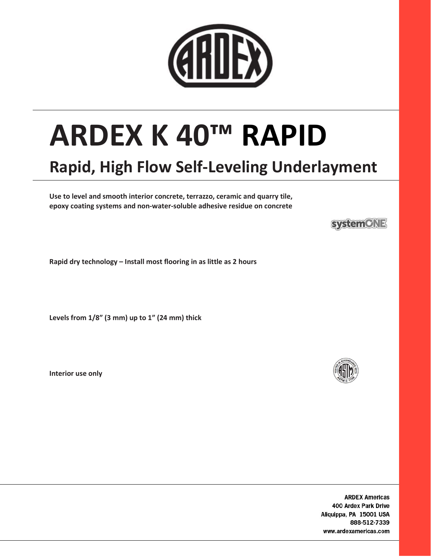

# ARDEX K 40™ RAPID

## Rapid, High Flow Self-Leveling Underlayment

Use to level and smooth interior concrete, terrazzo, ceramic and quarry tile, epoxy coating systems and non-water-soluble adhesive residue on concrete

**systemCNE** 

Rapid dry technology – Install most flooring in as little as 2 hours

Levels from 1/8" (3 mm) up to 1" (24 mm) thick

Interior use only



**ARDEX Americas** 400 Ardex Park Drive Aliquippa, PA 15001 USA 888-512-7339 www.ardexamericas.com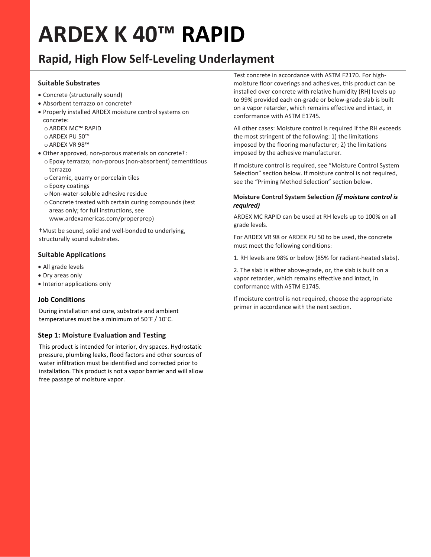# ARDEX K 40™ RAPID

### Rapid, High Flow Self-Leveling Underlayment

#### Suitable Substrates

- Concrete (structurally sound)
- Absorbent terrazzo on concrete†
- Properly installed ARDEX moisture control systems on concrete:
	- o ARDEX MC™ RAPID
	- o ARDEX PU 50™
	- o ARDEX VR 98™
- Other approved, non-porous materials on concrete†:
	- o Epoxy terrazzo; non-porous (non-absorbent) cementitious terrazzo
	- o Ceramic, quarry or porcelain tiles
	- o Epoxy coatings
	- oNon-water-soluble adhesive residue
	- o Concrete treated with certain curing compounds (test areas only; for full instructions, see www.ardexamericas.com/properprep)

†Must be sound, solid and well-bonded to underlying, structurally sound substrates.

#### Suitable Applications

- All grade levels
- Dry areas only
- Interior applications only

#### Job Conditions

During installation and cure, substrate and ambient temperatures must be a minimum of 50°F / 10°C.

#### Step 1: Moisture Evaluation and Testing

This product is intended for interior, dry spaces. Hydrostatic pressure, plumbing leaks, flood factors and other sources of water infiltration must be identified and corrected prior to installation. This product is not a vapor barrier and will allow free passage of moisture vapor.

Test concrete in accordance with ASTM F2170. For highmoisture floor coverings and adhesives, this product can be installed over concrete with relative humidity (RH) levels up to 99% provided each on-grade or below-grade slab is built on a vapor retarder, which remains effective and intact, in conformance with ASTM E1745.

All other cases: Moisture control is required if the RH exceeds the most stringent of the following: 1) the limitations imposed by the flooring manufacturer; 2) the limitations imposed by the adhesive manufacturer.

If moisture control is required, see "Moisture Control System Selection" section below. If moisture control is not required, see the "Priming Method Selection" section below.

#### Moisture Control System Selection (if moisture control is required)

ARDEX MC RAPID can be used at RH levels up to 100% on all grade levels.

For ARDEX VR 98 or ARDEX PU 50 to be used, the concrete must meet the following conditions:

1. RH levels are 98% or below (85% for radiant-heated slabs).

2. The slab is either above-grade, or, the slab is built on a vapor retarder, which remains effective and intact, in conformance with ASTM E1745.

If moisture control is not required, choose the appropriate primer in accordance with the next section.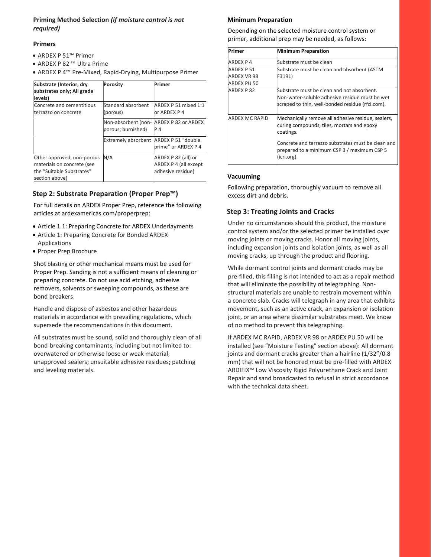#### Priming Method Selection (if moisture control is not required)

#### Primers

- ARDEX P 51™ Primer
- ARDEX P 82 ™ Ultra Prime
- ARDEX P 4™ Pre-Mixed, Rapid-Drying, Multipurpose Primer

| Substrate (Interior, dry<br>substrates only; All grade<br>levels)                                       | Porosity                                  | Primer                                                                   |
|---------------------------------------------------------------------------------------------------------|-------------------------------------------|--------------------------------------------------------------------------|
| Concrete and cementitious<br>terrazzo on concrete                                                       | Standard absorbent<br>(porous)            | ARDEX P 51 mixed 1:1<br>or ARDEX P 4                                     |
|                                                                                                         | Non-absorbent (non-<br>porous; burnished) | ARDEX P 82 or ARDEX<br>P 4                                               |
|                                                                                                         | Extremely absorbent ARDEX P 51 "double    | prime" or ARDEX P 4                                                      |
| Other approved, non-porous<br>materials on concrete (see<br>the "Suitable Substrates"<br>section above) | N/A                                       | ARDEX P 82 (all) or<br><b>ARDEX P 4 (all except</b><br>adhesive residue) |

#### Step 2: Substrate Preparation (Proper Prep™)

For full details on ARDEX Proper Prep, reference the following articles at ardexamericas.com/properprep:

- Article 1.1: Preparing Concrete for ARDEX Underlayments
- Article 1: Preparing Concrete for Bonded ARDEX Applications
- Proper Prep Brochure

Shot blasting or other mechanical means must be used for Proper Prep. Sanding is not a sufficient means of cleaning or preparing concrete. Do not use acid etching, adhesive removers, solvents or sweeping compounds, as these are bond breakers.

Handle and dispose of asbestos and other hazardous materials in accordance with prevailing regulations, which supersede the recommendations in this document.

All substrates must be sound, solid and thoroughly clean of all bond-breaking contaminants, including but not limited to: overwatered or otherwise loose or weak material; unapproved sealers; unsuitable adhesive residues; patching and leveling materials.

#### Minimum Preparation

Depending on the selected moisture control system or primer, additional prep may be needed, as follows:

| Primer                                         | <b>Minimum Preparation</b>                                                                                                                       |
|------------------------------------------------|--------------------------------------------------------------------------------------------------------------------------------------------------|
| ARDEX P 4                                      | Substrate must be clean                                                                                                                          |
| <b>ARDEX P51</b><br>ARDEX VR 98<br>ARDEX PU 50 | Substrate must be clean and absorbent (ASTM<br>F3191)                                                                                            |
| <b>ARDEX P82</b>                               | Substrate must be clean and not absorbent.<br>Non-water-soluble adhesive residue must be wet<br>scraped to thin, well-bonded residue (rfci.com). |
| ARDEX MC RAPID                                 | Mechanically remove all adhesive residue, sealers,<br>curing compounds, tiles, mortars and epoxy<br>coatings.                                    |
|                                                | Concrete and terrazzo substrates must be clean and<br>prepared to a minimum CSP 3 / maximum CSP 5<br>(icri.org).                                 |

#### Vacuuming

Following preparation, thoroughly vacuum to remove all excess dirt and debris.

#### Step 3: Treating Joints and Cracks

Under no circumstances should this product, the moisture control system and/or the selected primer be installed over moving joints or moving cracks. Honor all moving joints, including expansion joints and isolation joints, as well as all moving cracks, up through the product and flooring.

While dormant control joints and dormant cracks may be pre-filled, this filling is not intended to act as a repair method that will eliminate the possibility of telegraphing. Nonstructural materials are unable to restrain movement within a concrete slab. Cracks will telegraph in any area that exhibits movement, such as an active crack, an expansion or isolation joint, or an area where dissimilar substrates meet. We know of no method to prevent this telegraphing.

If ARDEX MC RAPID, ARDEX VR 98 or ARDEX PU 50 will be installed (see "Moisture Testing" section above): All dormant joints and dormant cracks greater than a hairline (1/32"/0.8 mm) that will not be honored must be pre-filled with ARDEX ARDIFIX™ Low Viscosity Rigid Polyurethane Crack and Joint Repair and sand broadcasted to refusal in strict accordance with the technical data sheet.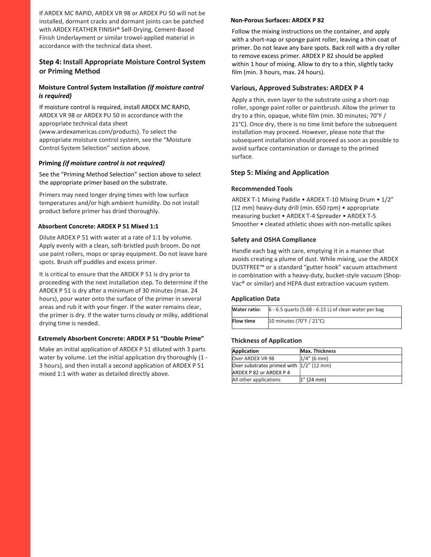If ARDEX MC RAPID, ARDEX VR 98 or ARDEX PU 50 will not be installed, dormant cracks and dormant joints can be patched with ARDEX FEATHER FINISH® Self-Drying, Cement-Based Finish Underlayment or similar trowel-applied material in accordance with the technical data sheet.

#### Step 4: Install Appropriate Moisture Control System or Priming Method

#### Moisture Control System Installation (if moisture control is required)

If moisture control is required, install ARDEX MC RAPID, ARDEX VR 98 or ARDEX PU 50 in accordance with the appropriate technical data sheet (www.ardexamericas.com/products). To select the appropriate moisture control system, see the "Moisture Control System Selection" section above.

#### Priming (if moisture control is not required)

See the "Priming Method Selection" section above to select the appropriate primer based on the substrate.

Primers may need longer drying times with low surface temperatures and/or high ambient humidity. Do not install product before primer has dried thoroughly.

#### Absorbent Concrete: ARDEX P 51 Mixed 1:1

Dilute ARDEX P 51 with water at a rate of 1:1 by volume. Apply evenly with a clean, soft-bristled push broom. Do not use paint rollers, mops or spray equipment. Do not leave bare spots. Brush off puddles and excess primer.

It is critical to ensure that the ARDEX P 51 is dry prior to proceeding with the next installation step. To determine if the ARDEX P 51 is dry after a minimum of 30 minutes (max. 24 hours), pour water onto the surface of the primer in several areas and rub it with your finger. If the water remains clear, the primer is dry. If the water turns cloudy or milky, additional drying time is needed.

#### Extremely Absorbent Concrete: ARDEX P 51 "Double Prime"

Make an initial application of ARDEX P 51 diluted with 3 parts water by volume. Let the initial application dry thoroughly (1 - 3 hours), and then install a second application of ARDEX P 51 mixed 1:1 with water as detailed directly above.

#### Non-Porous Surfaces: ARDEX P 82

Follow the mixing instructions on the container, and apply with a short-nap or sponge paint roller, leaving a thin coat of primer. Do not leave any bare spots. Back roll with a dry roller to remove excess primer. ARDEX P 82 should be applied within 1 hour of mixing. Allow to dry to a thin, slightly tacky film (min. 3 hours, max. 24 hours).

#### Various, Approved Substrates: ARDEX P 4

Apply a thin, even layer to the substrate using a short-nap roller, sponge paint roller or paintbrush. Allow the primer to dry to a thin, opaque, white film (min. 30 minutes; 70°F / 21°C). Once dry, there is no time limit before the subsequent installation may proceed. However, please note that the subsequent installation should proceed as soon as possible to avoid surface contamination or damage to the primed surface.

#### Step 5: Mixing and Application

#### Recommended Tools

ARDEX T-1 Mixing Paddle • ARDEX T-10 Mixing Drum • 1/2" (12 mm) heavy-duty drill (min. 650 rpm) • appropriate measuring bucket • ARDEX T-4 Spreader • ARDEX T-5 Smoother • cleated athletic shoes with non-metallic spikes

#### Safety and OSHA Compliance

Handle each bag with care, emptying it in a manner that avoids creating a plume of dust. While mixing, use the ARDEX DUSTFREE™ or a standard "gutter hook" vacuum attachment in combination with a heavy-duty, bucket-style vacuum (Shop-Vac® or similar) and HEPA dust extraction vacuum system.

#### Application Data

| Water ratio:     | $6 - 6.5$ quarts (5.68 - 6.15 L) of clean water per bag |
|------------------|---------------------------------------------------------|
| <b>Flow time</b> | 10 minutes (70°F / 21°C)                                |

#### Thickness of Application

| Application                               | <b>Max. Thickness</b> |
|-------------------------------------------|-----------------------|
| Over ARDEX VR 98                          | $1/4$ " (6 mm)        |
| Over substrates primed with  1/2" (12 mm) |                       |
| <b>ARDEX P 82 or ARDEX P 4</b>            |                       |
| All other applications                    | $1''$ (24 mm)         |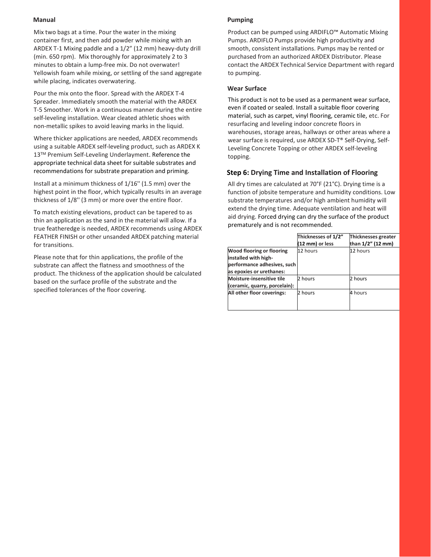#### Manual

Mix two bags at a time. Pour the water in the mixing container first, and then add powder while mixing with an ARDEX T-1 Mixing paddle and a 1/2" (12 mm) heavy-duty drill (min. 650 rpm). Mix thoroughly for approximately 2 to 3 minutes to obtain a lump-free mix. Do not overwater! Yellowish foam while mixing, or settling of the sand aggregate while placing, indicates overwatering.

Pour the mix onto the floor. Spread with the ARDEX T-4 Spreader. Immediately smooth the material with the ARDEX T-5 Smoother. Work in a continuous manner during the entire self-leveling installation. Wear cleated athletic shoes with non-metallic spikes to avoid leaving marks in the liquid.

Where thicker applications are needed, ARDEX recommends using a suitable ARDEX self-leveling product, such as ARDEX K 13™ Premium Self-Leveling Underlayment. Reference the appropriate technical data sheet for suitable substrates and recommendations for substrate preparation and priming.

Install at a minimum thickness of 1/16'' (1.5 mm) over the highest point in the floor, which typically results in an average thickness of 1/8'' (3 mm) or more over the entire floor.

To match existing elevations, product can be tapered to as thin an application as the sand in the material will allow. If a true featheredge is needed, ARDEX recommends using ARDEX FEATHER FINISH or other unsanded ARDEX patching material for transitions.

Please note that for thin applications, the profile of the substrate can affect the flatness and smoothness of the product. The thickness of the application should be calculated based on the surface profile of the substrate and the specified tolerances of the floor covering.

#### Pumping

Product can be pumped using ARDIFLO™ Automatic Mixing Pumps. ARDIFLO Pumps provide high productivity and smooth, consistent installations. Pumps may be rented or purchased from an authorized ARDEX Distributor. Please contact the ARDEX Technical Service Department with regard to pumping.

#### Wear Surface

This product is not to be used as a permanent wear surface, even if coated or sealed. Install a suitable floor covering material, such as carpet, vinyl flooring, ceramic tile, etc. For resurfacing and leveling indoor concrete floors in warehouses, storage areas, hallways or other areas where a wear surface is required, use ARDEX SD-T® Self-Drying, Self-Leveling Concrete Topping or other ARDEX self-leveling topping.

#### Step 6: Drying Time and Installation of Flooring

All dry times are calculated at 70°F (21°C). Drying time is a function of jobsite temperature and humidity conditions. Low substrate temperatures and/or high ambient humidity will extend the drying time. Adequate ventilation and heat will aid drying. Forced drying can dry the surface of the product prematurely and is not recommended.

|                               | Thicknesses of 1/2"<br>(12 mm) or less | Thicknesses greater<br>than 1/2" (12 mm) |
|-------------------------------|----------------------------------------|------------------------------------------|
| Wood flooring or flooring     | 12 hours                               | 12 hours                                 |
| installed with high-          |                                        |                                          |
| performance adhesives, such   |                                        |                                          |
| as epoxies or urethanes:      |                                        |                                          |
| Moisture-insensitive tile     | 2 hours                                | 2 hours                                  |
| (ceramic, quarry, porcelain): |                                        |                                          |
| All other floor coverings:    | 2 hours                                | 4 hours                                  |
|                               |                                        |                                          |